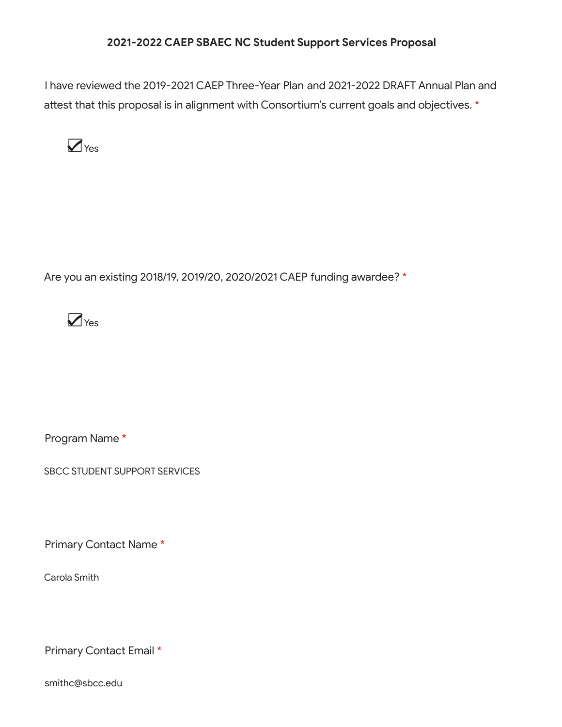#### **2021-2022 CAEP SBAEC NC Student Support Services Proposal**

I have reviewed the 2019-2021 CAEP Three-Year Plan and 2021-2022 DRAFT Annual Plan and attest that this proposal is in alignment with Consortium's current goals and objectives. \*



Are you an existing 2018/19, 2019/20, 2020/2021 CAEP funding awardee? \*



Program Name \*

SBCC STUDENT SUPPORT SERVICES

Primary Contact Name \*

Carola Smith

Primary Contact Email \*

smithc@sbcc.edu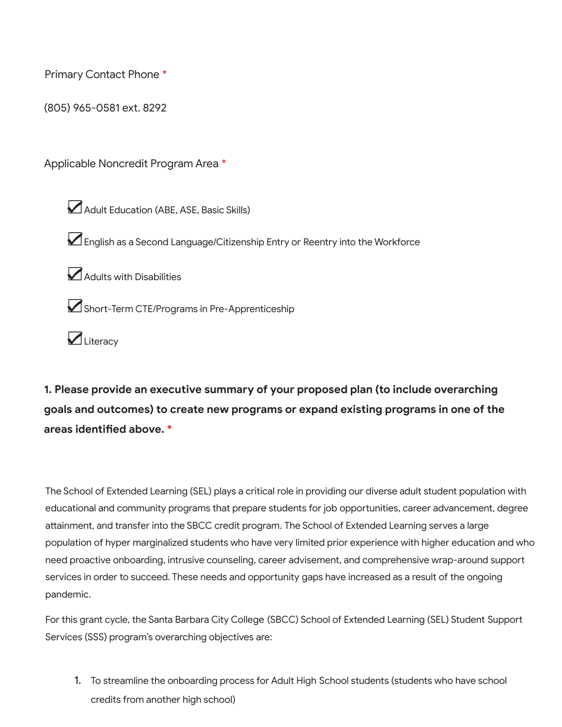Primary Contact Phone \*

(805) 965-0581 ext. 8292

Applicable Noncredit Program Area \*

☑Adult Education (ABE, ASE, Basic Skills)

☑English as <sup>a</sup> Second Language/Citizenship Entry or Reentry into the Workforce

☑Adults with Disabilities

☑Short-Term CTE/Programs in Pre-Apprenticeship

☑Literacy

**1. Please provide an executive summary of your proposed plan (to include overarching goals and outcomes) to create new programs or expand existing programs in one of the areas identified above. \***

The School of Extended Learning (SEL) plays a critical role in providing our diverse adult student population with educational and community programs that prepare students for job opportunities, career advancement, degree attainment, and transfer into the SBCC credit program. The School of Extended Learning serves a large population of hyper marginalized students who have very limited prior experience with higher education and who need proactive onboarding, intrusive counseling, career advisement, and comprehensive wrap-around support services in order to succeed. These needs and opportunity gaps have increased as a result of the ongoing pandemic.

For this grant cycle, the Santa Barbara City College (SBCC) School of Extended Learning (SEL) Student Support Services (SSS) program's overarching objectives are:

1. To streamline the onboarding process for Adult High School students (students who have school credits from another high school)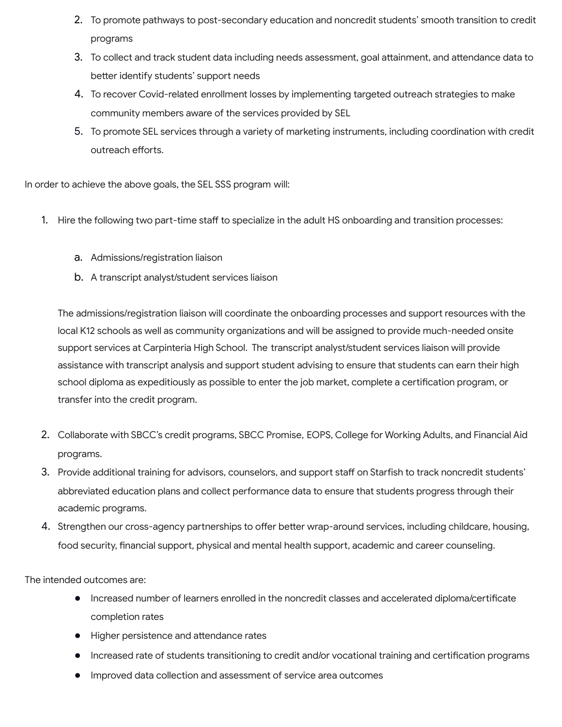- 2. To promote pathways to post-secondary education and noncredit students' smooth transition to credit programs
- 3. To collect and track student data including needs assessment, goal attainment, and attendance data to better identify students' support needs
- 4. To recover Covid-related enrollment losses by implementing targeted outreach strategies to make community members aware of the services provided by SEL
- 5. To promote SEL services through a variety of marketing instruments, including coordination with credit outreach efforts.

In order to achieve the above goals, the SEL SSS program will:

- 1. Hire the following two part-time staff to specialize in the adult HS onboarding and transition processes:
	- a. Admissions/registration liaison
	- b. A transcript analyst/student services liaison

The admissions/registration liaison will coordinate the onboarding processes and support resources with the local K12 schools as well as community organizations and will be assigned to provide much-needed onsite support services at Carpinteria High School. The transcript analyst/student services liaison will provide assistance with transcript analysis and support student advising to ensure that students can earn their high school diploma as expeditiously as possible to enter the job market, complete a certification program, or transfer into the credit program.

- 2. Collaborate with SBCC's credit programs, SBCC Promise, EOPS, College for Working Adults, and Financial Aid programs.
- 3. Provide additional training for advisors, counselors, and support staff on Starfish to track noncredit students' abbreviated education plans and collect performance data to ensure that students progress through their academic programs.
- 4. Strengthen our cross-agency partnerships to offer better wrap-around services, including childcare, housing, food security, financial support, physical and mental health support, academic and career counseling.

The intended outcomes are:

- Increased number of learners enrolled in the noncredit classes and accelerated diploma/certificate completion rates
- Higher persistence and attendance rates
- Increased rate of students transitioning to credit and/or vocational training and certification programs
- Improved data collection and assessment of service area outcomes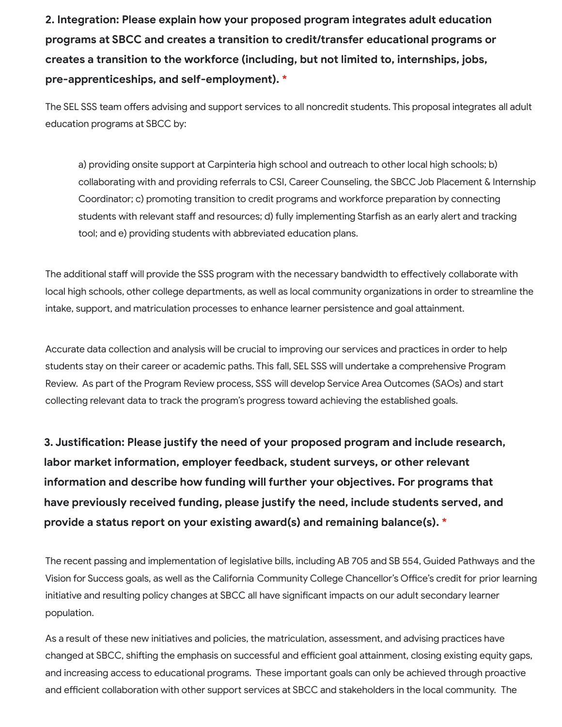**2. Integration: Please explain how your proposed program integrates adult education programs at SBCC and creates a transition to credit/transfer educational programs or creates a transition to the workforce (including, but not limited to, internships, jobs, pre-apprenticeships, and self-employment). \***

The SEL SSS team offers advising and support services to all noncredit students. This proposal integrates all adult education programs at SBCC by:

a) providing onsite support at Carpinteria high school and outreach to other local high schools; b) collaborating with and providing referrals to CSI, Career Counseling, the SBCC Job Placement & Internship Coordinator; c) promoting transition to credit programs and workforce preparation by connecting students with relevant staff and resources; d) fully implementing Starfish as an early alert and tracking tool; and e) providing students with abbreviated education plans.

The additional staff will provide the SSS program with the necessary bandwidth to effectively collaborate with local high schools, other college departments, as well as local community organizations in order to streamline the intake, support, and matriculation processes to enhance learner persistence and goal attainment.

Accurate data collection and analysis will be crucial to improving our services and practices in order to help students stay on their career or academic paths. This fall, SEL SSS will undertake a comprehensive Program Review. As part of the Program Review process, SSS will develop Service Area Outcomes (SAOs) and start collecting relevant data to track the program's progress toward achieving the established goals.

**3. Justification: Please justify the need of your proposed program and include research, labor market information, employer feedback, student surveys, or other relevant information and describe how funding will further your objectives. For programs that have previously received funding, please justify the need, include students served, and provide a status report on your existing award(s) and remaining balance(s). \***

The recent passing and implementation of legislative bills, including AB 705 and SB 554, Guided Pathways and the Vision for Success goals, as well as the California Community College Chancellor's Office's credit for prior learning initiative and resulting policy changes at SBCC all have significant impacts on our adult secondary learner population.

As a result of these new initiatives and policies, the matriculation, assessment, and advising practices have changed at SBCC, shifting the emphasis on successful and efficient goal attainment, closing existing equity gaps, and increasing access to educational programs. These important goals can only be achieved through proactive and efficient collaboration with other support services at SBCC and stakeholders in the local community. The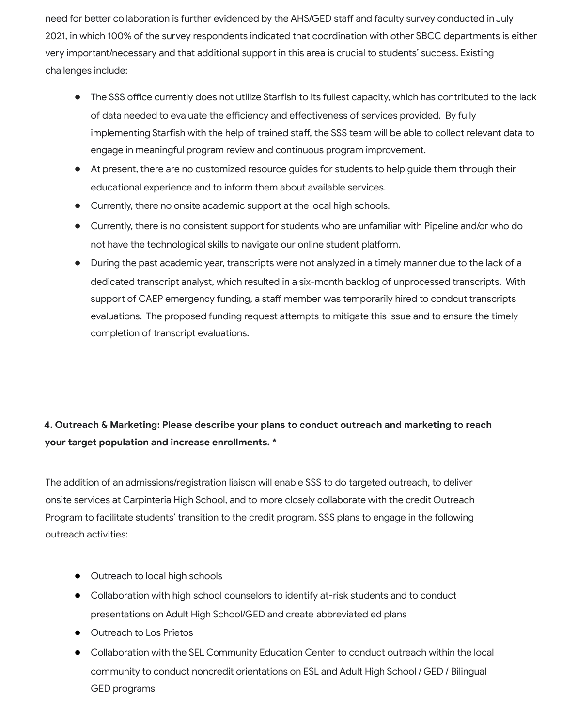need for better collaboration is further evidenced by the AHS/GED staff and faculty survey conducted in July 2021, in which 100% of the survey respondents indicated that coordination with other SBCC departments is either very important/necessary and that additional support in this area is crucial to students' success. Existing challenges include:

- The SSS office currently does not utilize Starfish to its fullest capacity, which has contributed to the lack of data needed to evaluate the efficiency and effectiveness of services provided. By fully implementing Starfish with the help of trained staff, the SSS team will be able to collect relevant data to engage in meaningful program review and continuous program improvement.
- At present, there are no customized resource guides for students to help guide them through their educational experience and to inform them about available services.
- Currently, there no onsite academic support at the local high schools.
- Currently, there is no consistent support for students who are unfamiliar with Pipeline and/or who do not have the technological skills to navigate our online student platform.
- During the past academic year, transcripts were not analyzed in a timely manner due to the lack of a dedicated transcript analyst, which resulted in a six-month backlog of unprocessed transcripts. With support of CAEP emergency funding, a staff member was temporarily hired to condcut transcripts evaluations. The proposed funding request attempts to mitigate this issue and to ensure the timely completion of transcript evaluations.

### **4. Outreach & Marketing: Please describe your plans to conduct outreach and marketing to reach your target population and increase enrollments. \***

The addition of an admissions/registration liaison will enable SSS to do targeted outreach, to deliver onsite services at Carpinteria High School, and to more closely collaborate with the credit Outreach Program to facilitate students' transition to the credit program. SSS plans to engage in the following outreach activities:

- Outreach to local high schools
- Collaboration with high school counselors to identify at-risk students and to conduct presentations on Adult High School/GED and create abbreviated ed plans
- Outreach to Los Prietos
- Collaboration with the SEL Community Education Center to conduct outreach within the local community to conduct noncredit orientations on ESL and Adult High School / GED / Bilingual GED programs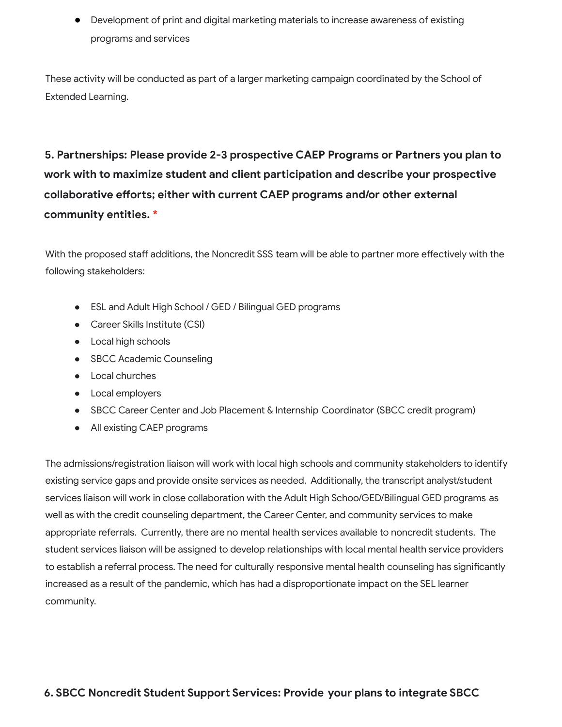● Development of print and digital marketing materials to increase awareness of existing programs and services

These activity will be conducted as part of a larger marketing campaign coordinated by the School of Extended Learning.

# **5. Partnerships: Please provide 2-3 prospective CAEP Programs or Partners you plan to work with to maximize student and client participation and describe your prospective collaborative efforts; either with current CAEP programs and/or other external community entities. \***

With the proposed staff additions, the Noncredit SSS team will be able to partner more effectively with the following stakeholders:

- ESL and Adult High School / GED / Bilingual GED programs
- Career Skills Institute (CSI)
- Local high schools
- SBCC Academic Counseling
- Local churches
- Local employers
- SBCC Career Center and Job Placement & Internship Coordinator (SBCC credit program)
- All existing CAEP programs

The admissions/registration liaison will work with local high schools and community stakeholders to identify existing service gaps and provide onsite services as needed. Additionally, the transcript analyst/student services liaison will work in close collaboration with the Adult High Schoo/GED/Bilingual GED programs as well as with the credit counseling department, the Career Center, and community services to make appropriate referrals. Currently, there are no mental health services available to noncredit students. The student services liaison will be assigned to develop relationships with local mental health service providers to establish a referral process. The need for culturally responsive mental health counseling has significantly increased as a result of the pandemic, which has had a disproportionate impact on the SEL learner community.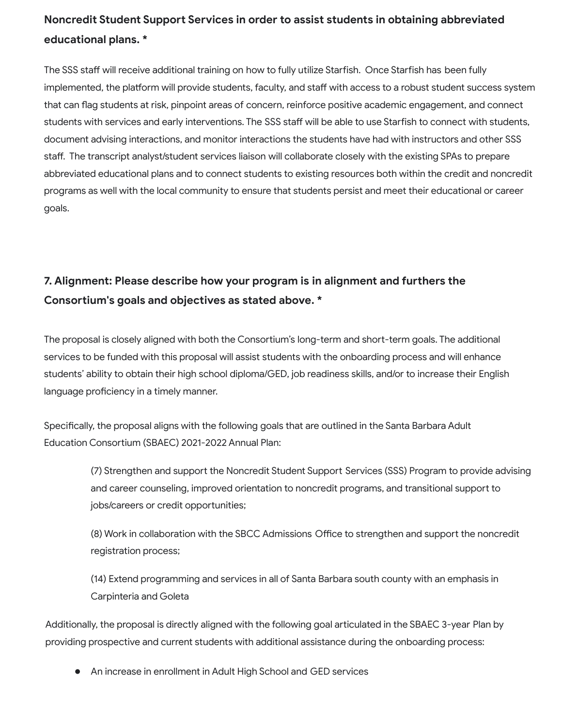### **Noncredit Student Support Services in order to assist students in obtaining abbreviated educational plans. \***

The SSS staff will receive additional training on how to fully utilize Starfish. Once Starfish has been fully implemented, the platform will provide students, faculty, and staff with access to a robust student success system that can flag students at risk, pinpoint areas of concern, reinforce positive academic engagement, and connect students with services and early interventions. The SSS staff will be able to use Starfish to connect with students, document advising interactions, and monitor interactions the students have had with instructors and other SSS staff. The transcript analyst/student services liaison will collaborate closely with the existing SPAs to prepare abbreviated educational plans and to connect students to existing resources both within the credit and noncredit programs as well with the local community to ensure that students persist and meet their educational or career goals.

## **7. Alignment: Please describe how your program is in alignment and furthers the Consortium's goals and objectives as stated above. \***

The proposal is closely aligned with both the Consortium's long-term and short-term goals. The additional services to be funded with this proposal will assist students with the onboarding process and will enhance students' ability to obtain their high school diploma/GED, job readiness skills, and/or to increase their English language proficiency in a timely manner.

Specifically, the proposal aligns with the following goals that are outlined in the Santa Barbara Adult Education Consortium (SBAEC) 2021-2022 Annual Plan:

> (7) Strengthen and support the Noncredit Student Support Services (SSS) Program to provide advising and career counseling, improved orientation to noncredit programs, and transitional support to jobs/careers or credit opportunities;

(8) Work in collaboration with the SBCC Admissions Office to strengthen and support the noncredit registration process;

(14) Extend programming and services in all of Santa Barbara south county with an emphasis in Carpinteria and Goleta

Additionally, the proposal is directly aligned with the following goal articulated in the SBAEC 3-year Plan by providing prospective and current students with additional assistance during the onboarding process:

An increase in enrollment in Adult High School and GED services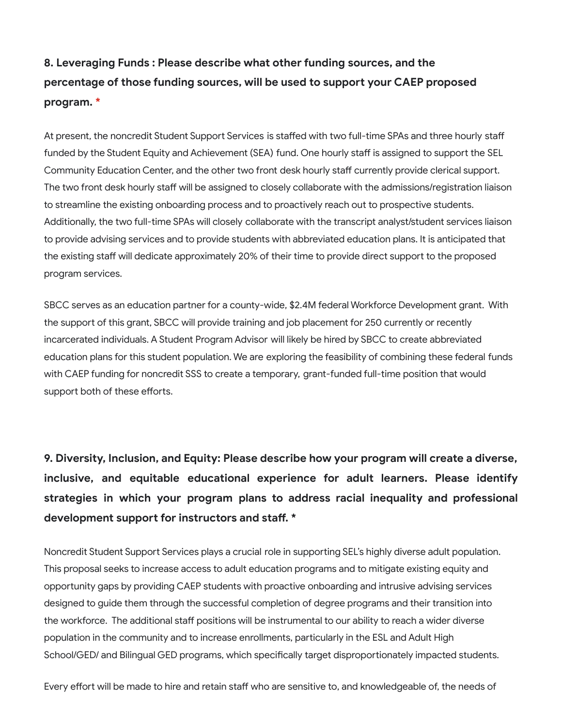## **8. Leveraging Funds : Please describe what other funding sources, and the percentage of those funding sources, will be used to support your CAEP proposed program. \***

At present, the noncredit Student Support Services is staffed with two full-time SPAs and three hourly staff funded by the Student Equity and Achievement (SEA) fund. One hourly staff is assigned to support the SEL Community Education Center, and the other two front desk hourly staff currently provide clerical support. The two front desk hourly staff will be assigned to closely collaborate with the admissions/registration liaison to streamline the existing onboarding process and to proactively reach out to prospective students. Additionally, the two full-time SPAs will closely collaborate with the transcript analyst/student services liaison to provide advising services and to provide students with abbreviated education plans. It is anticipated that the existing staff will dedicate approximately 20% of their time to provide direct support to the proposed program services.

SBCC serves as an education partner for a county-wide, \$2.4M federal Workforce Development grant. With the support of this grant, SBCC will provide training and job placement for 250 currently or recently incarcerated individuals. A Student Program Advisor will likely be hired by SBCC to create abbreviated education plans for this student population. We are exploring the feasibility of combining these federal funds with CAEP funding for noncredit SSS to create a temporary, grant-funded full-time position that would support both of these efforts.

**9. Diversity, Inclusion, and Equity: Please describe how your program will create a diverse, inclusive, and equitable educational experience for adult learners. Please identify strategies in which your program plans to address racial inequality and professional development support for instructors and staff. \***

Noncredit Student Support Services plays a crucial role in supporting SEL's highly diverse adult population. This proposal seeks to increase access to adult education programs and to mitigate existing equity and opportunity gaps by providing CAEP students with proactive onboarding and intrusive advising services designed to guide them through the successful completion of degree programs and their transition into the workforce. The additional staff positions will be instrumental to our ability to reach a wider diverse population in the community and to increase enrollments, particularly in the ESL and Adult High School/GED/ and Bilingual GED programs, which specifically target disproportionately impacted students.

Every effort will be made to hire and retain staff who are sensitive to, and knowledgeable of, the needs of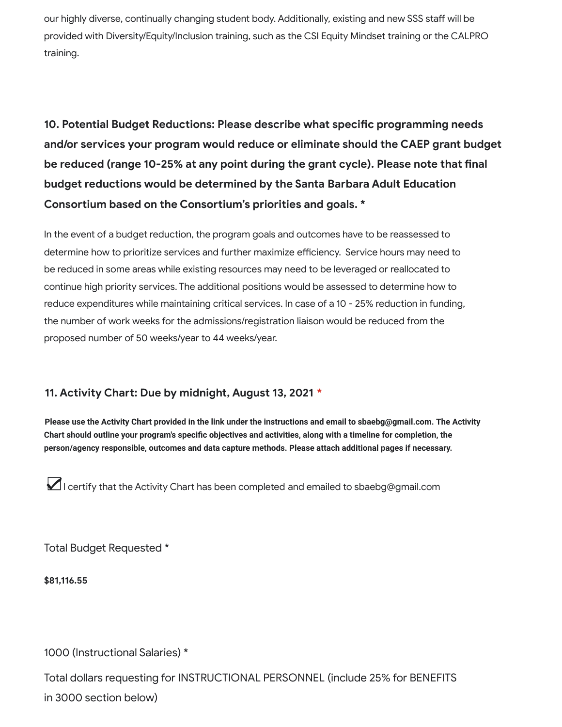our highly diverse, continually changing student body. Additionally, existing and new SSS staff will be provided with Diversity/Equity/Inclusion training, such as the CSI Equity Mindset training or the CALPRO training.

**10. Potential Budget Reductions: Please describe what specific programming needs and/or services your program would reduce or eliminate should the CAEP grant budget be reduced (range 10-25% at any point during the grant cycle). Please note that final budget reductions would be determined by the Santa Barbara Adult Education Consortium based on the Consortium's priorities and goals. \***

In the event of a budget reduction, the program goals and outcomes have to be reassessed to determine how to prioritize services and further maximize efficiency. Service hours may need to be reduced in some areas while existing resources may need to be leveraged or reallocated to continue high priority services. The additional positions would be assessed to determine how to reduce expenditures while maintaining critical services. In case of a 10 - 25% reduction in funding, the number of work weeks for the admissions/registration liaison would be reduced from the proposed number of 50 weeks/year to 44 weeks/year.

#### **11. Activity Chart: Due by midnight, August 13, 2021 \***

**Please use the Activity Chart provided in the link under the instructions and email to sbaebg@gmail.com. The Activity Chart should outline your program's specific objectives and activities, along with a timeline for completion, the person/agency responsible, outcomes and data capture methods. Please attach additional pages if necessary.**

☑<sup>I</sup> certify that the Activity Chart has been completed and emailed to sbaebg@gmail.com

Total Budget Requested \*

**\$81,116.55**

1000 (Instructional Salaries) \*

Total dollars requesting for INSTRUCTIONAL PERSONNEL (include 25% for BENEFITS in 3000 section below)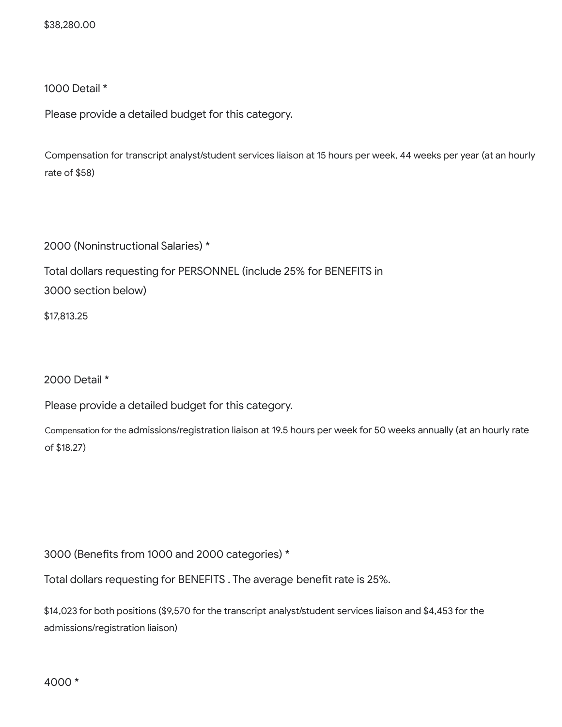\$38,280.00

1000 Detail \*

Please provide a detailed budget for this category.

Compensation for transcript analyst/student services liaison at 15 hours per week, 44 weeks per year (at an hourly rate of \$58)

2000 (Noninstructional Salaries) \*

Total dollars requesting for PERSONNEL (include 25% for BENEFITS in

3000 section below)

\$17,813.25

2000 Detail \*

Please provide a detailed budget for this category.

Compensation for the admissions/registration liaison at 19.5 hours per week for 50 weeks annually (at an hourly rate of \$18.27)

3000 (Benefits from 1000 and 2000 categories) \*

Total dollars requesting for BENEFITS . The average benefit rate is 25%.

\$14,023 for both positions (\$9,570 for the transcript analyst/student services liaison and \$4,453 for the admissions/registration liaison)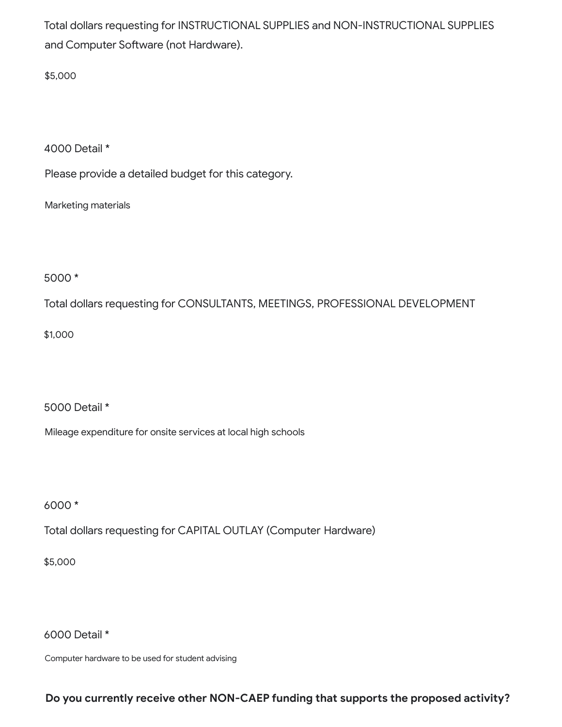Total dollars requesting for INSTRUCTIONAL SUPPLIES and NON-INSTRUCTIONAL SUPPLIES and Computer Software (not Hardware).

\$5,000

4000 Detail \*

Please provide a detailed budget for this category.

Marketing materials

5000 \*

Total dollars requesting for CONSULTANTS, MEETINGS, PROFESSIONAL DEVELOPMENT

\$1,000

5000 Detail \*

Mileage expenditure for onsite services at local high schools

6000 \*

Total dollars requesting for CAPITAL OUTLAY (Computer Hardware)

\$5,000

6000 Detail \*

Computer hardware to be used for student advising